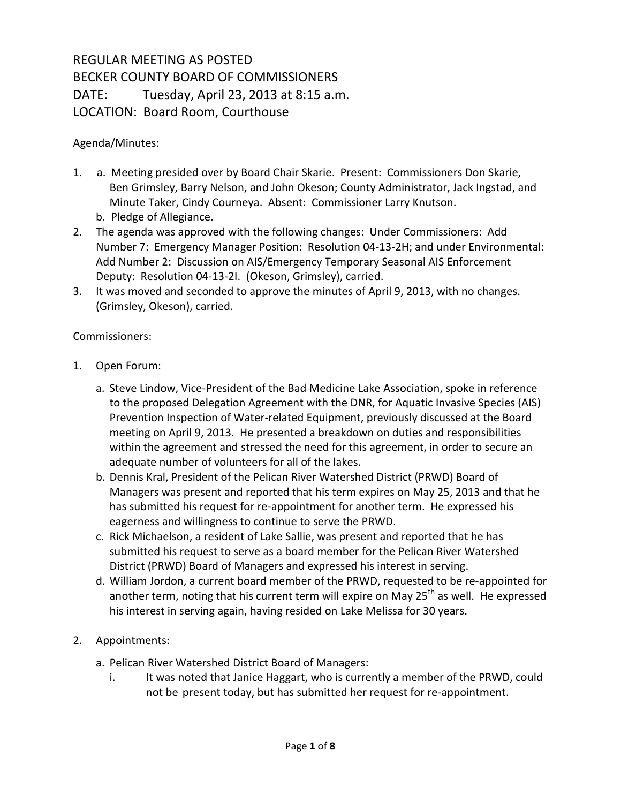## REGULAR MEETING AS POSTED BECKER COUNTY BOARD OF COMMISSIONERS DATE: Tuesday, April 23, 2013 at 8:15 a.m. LOCATION: Board Room, Courthouse

## Agenda/Minutes:

- 1. a. Meeting presided over by Board Chair Skarie. Present: Commissioners Don Skarie, Ben Grimsley, Barry Nelson, and John Okeson; County Administrator, Jack Ingstad, and Minute Taker, Cindy Courneya. Absent: Commissioner Larry Knutson. b. Pledge of Allegiance.
- 2. The agenda was approved with the following changes: Under Commissioners: Add Number 7: Emergency Manager Position: Resolution 04-13-2H; and under Environmental: Add Number 2: Discussion on AIS/Emergency Temporary Seasonal AIS Enforcement Deputy: Resolution 04-13-2I. (Okeson, Grimsley), carried.
- 3. It was moved and seconded to approve the minutes of April 9, 2013, with no changes. (Grimsley, Okeson), carried.

## Commissioners:

- 1. Open Forum:
	- a. Steve Lindow, Vice-President of the Bad Medicine Lake Association, spoke in reference to the proposed Delegation Agreement with the DNR, for Aquatic Invasive Species (AIS) Prevention Inspection of Water-related Equipment, previously discussed at the Board meeting on April 9, 2013. He presented a breakdown on duties and responsibilities within the agreement and stressed the need for this agreement, in order to secure an adequate number of volunteers for all of the lakes.
	- b. Dennis Kral, President of the Pelican River Watershed District (PRWD) Board of Managers was present and reported that his term expires on May 25, 2013 and that he has submitted his request for re-appointment for another term. He expressed his eagerness and willingness to continue to serve the PRWD.
	- c. Rick Michaelson, a resident of Lake Sallie, was present and reported that he has submitted his request to serve as a board member for the Pelican River Watershed District (PRWD) Board of Managers and expressed his interest in serving.
	- d. William Jordon, a current board member of the PRWD, requested to be re-appointed for another term, noting that his current term will expire on May  $25<sup>th</sup>$  as well. He expressed his interest in serving again, having resided on Lake Melissa for 30 years.

## 2. Appointments:

- a. Pelican River Watershed District Board of Managers:
	- i. It was noted that Janice Haggart, who is currently a member of the PRWD, could not be present today, but has submitted her request for re-appointment.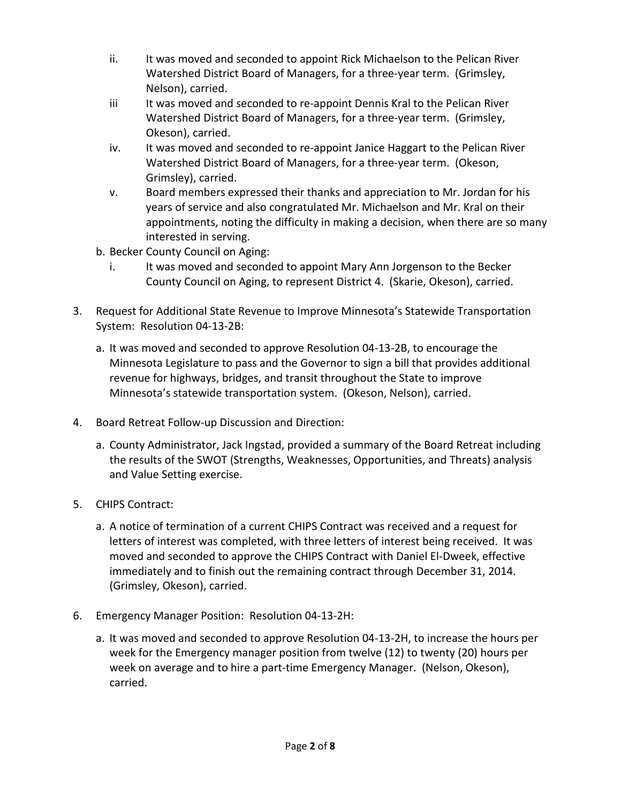- ii. It was moved and seconded to appoint Rick Michaelson to the Pelican River Watershed District Board of Managers, for a three-year term. (Grimsley, Nelson), carried.
- iii It was moved and seconded to re-appoint Dennis Kral to the Pelican River Watershed District Board of Managers, for a three-year term. (Grimsley, Okeson), carried.
- iv. It was moved and seconded to re-appoint Janice Haggart to the Pelican River Watershed District Board of Managers, for a three-year term. (Okeson, Grimsley), carried.
- v. Board members expressed their thanks and appreciation to Mr. Jordan for his years of service and also congratulated Mr. Michaelson and Mr. Kral on their appointments, noting the difficulty in making a decision, when there are so many interested in serving.
- b. Becker County Council on Aging:
	- i. It was moved and seconded to appoint Mary Ann Jorgenson to the Becker County Council on Aging, to represent District 4. (Skarie, Okeson), carried.
- 3. Request for Additional State Revenue to Improve Minnesota's Statewide Transportation System: Resolution 04-13-2B:
	- a. It was moved and seconded to approve Resolution 04-13-2B, to encourage the Minnesota Legislature to pass and the Governor to sign a bill that provides additional revenue for highways, bridges, and transit throughout the State to improve Minnesota's statewide transportation system. (Okeson, Nelson), carried.
- 4. Board Retreat Follow-up Discussion and Direction:
	- a. County Administrator, Jack Ingstad, provided a summary of the Board Retreat including the results of the SWOT (Strengths, Weaknesses, Opportunities, and Threats) analysis and Value Setting exercise.
- 5. CHIPS Contract:
	- a. A notice of termination of a current CHIPS Contract was received and a request for letters of interest was completed, with three letters of interest being received. It was moved and seconded to approve the CHIPS Contract with Daniel El-Dweek, effective immediately and to finish out the remaining contract through December 31, 2014. (Grimsley, Okeson), carried.
- 6. Emergency Manager Position: Resolution 04-13-2H:
	- a. It was moved and seconded to approve Resolution 04-13-2H, to increase the hours per week for the Emergency manager position from twelve (12) to twenty (20) hours per week on average and to hire a part-time Emergency Manager. (Nelson, Okeson), carried.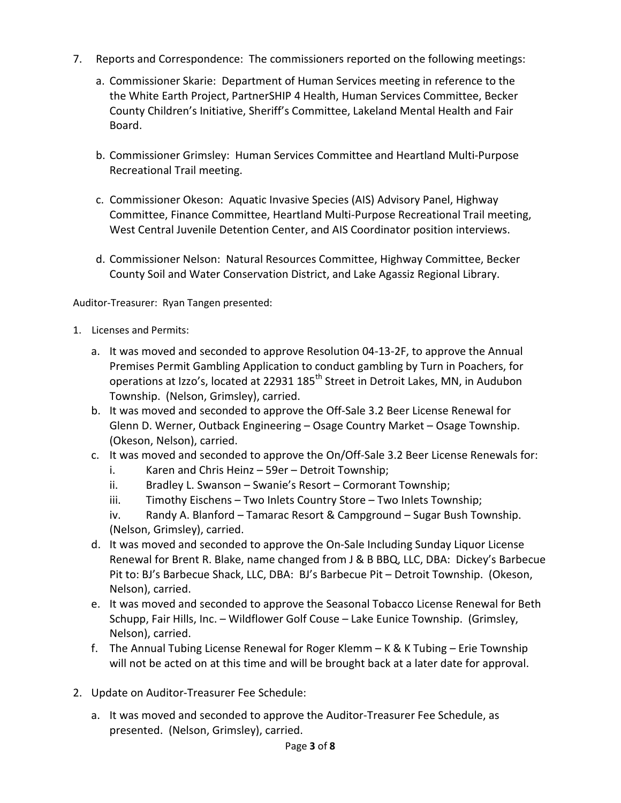- 7. Reports and Correspondence: The commissioners reported on the following meetings:
	- a. Commissioner Skarie: Department of Human Services meeting in reference to the the White Earth Project, PartnerSHIP 4 Health, Human Services Committee, Becker County Children's Initiative, Sheriff's Committee, Lakeland Mental Health and Fair Board.
	- b. Commissioner Grimsley: Human Services Committee and Heartland Multi-Purpose Recreational Trail meeting.
	- c. Commissioner Okeson: Aquatic Invasive Species (AIS) Advisory Panel, Highway Committee, Finance Committee, Heartland Multi-Purpose Recreational Trail meeting, West Central Juvenile Detention Center, and AIS Coordinator position interviews.
	- d. Commissioner Nelson: Natural Resources Committee, Highway Committee, Becker County Soil and Water Conservation District, and Lake Agassiz Regional Library.

Auditor-Treasurer: Ryan Tangen presented:

- 1. Licenses and Permits:
	- a. It was moved and seconded to approve Resolution 04-13-2F, to approve the Annual Premises Permit Gambling Application to conduct gambling by Turn in Poachers, for operations at Izzo's, located at 22931 185<sup>th</sup> Street in Detroit Lakes, MN, in Audubon Township. (Nelson, Grimsley), carried.
	- b. It was moved and seconded to approve the Off-Sale 3.2 Beer License Renewal for Glenn D. Werner, Outback Engineering – Osage Country Market – Osage Township. (Okeson, Nelson), carried.
	- c. It was moved and seconded to approve the On/Off-Sale 3.2 Beer License Renewals for:
		- i. Karen and Chris Heinz 59er Detroit Township;
		- ii. Bradley L. Swanson Swanie's Resort Cormorant Township;
		- iii. Timothy Eischens Two Inlets Country Store Two Inlets Township;
		- iv. Randy A. Blanford Tamarac Resort & Campground Sugar Bush Township. (Nelson, Grimsley), carried.
	- d. It was moved and seconded to approve the On-Sale Including Sunday Liquor License Renewal for Brent R. Blake, name changed from J & B BBQ, LLC, DBA: Dickey's Barbecue Pit to: BJ's Barbecue Shack, LLC, DBA: BJ's Barbecue Pit – Detroit Township. (Okeson, Nelson), carried.
	- e. It was moved and seconded to approve the Seasonal Tobacco License Renewal for Beth Schupp, Fair Hills, Inc. – Wildflower Golf Couse – Lake Eunice Township. (Grimsley, Nelson), carried.
	- f. The Annual Tubing License Renewal for Roger Klemm K & K Tubing Erie Township will not be acted on at this time and will be brought back at a later date for approval.
- 2. Update on Auditor-Treasurer Fee Schedule:
	- a. It was moved and seconded to approve the Auditor-Treasurer Fee Schedule, as presented. (Nelson, Grimsley), carried.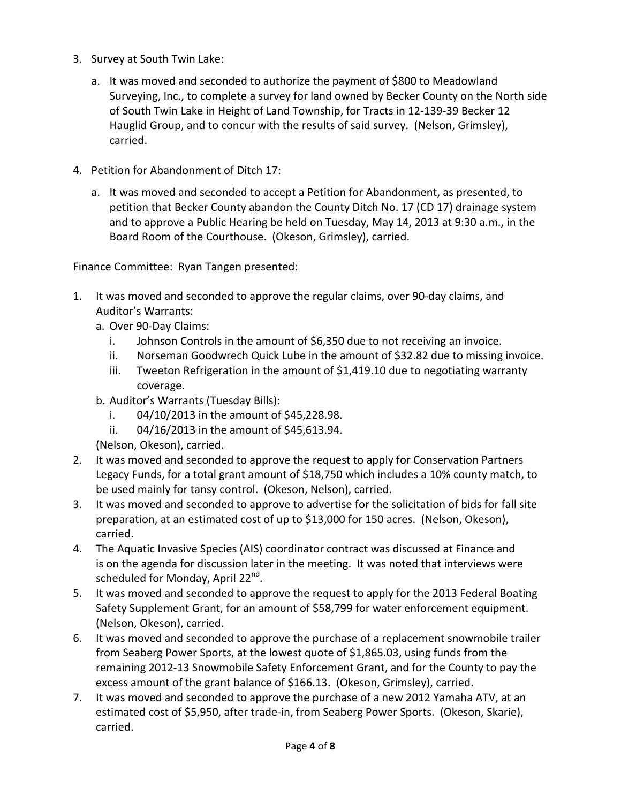- 3. Survey at South Twin Lake:
	- a. It was moved and seconded to authorize the payment of \$800 to Meadowland Surveying, Inc., to complete a survey for land owned by Becker County on the North side of South Twin Lake in Height of Land Township, for Tracts in 12-139-39 Becker 12 Hauglid Group, and to concur with the results of said survey. (Nelson, Grimsley), carried.
- 4. Petition for Abandonment of Ditch 17:
	- a. It was moved and seconded to accept a Petition for Abandonment, as presented, to petition that Becker County abandon the County Ditch No. 17 (CD 17) drainage system and to approve a Public Hearing be held on Tuesday, May 14, 2013 at 9:30 a.m., in the Board Room of the Courthouse. (Okeson, Grimsley), carried.

Finance Committee: Ryan Tangen presented:

- 1. It was moved and seconded to approve the regular claims, over 90-day claims, and Auditor's Warrants:
	- a. Over 90-Day Claims:
		- i. Johnson Controls in the amount of \$6,350 due to not receiving an invoice.
		- ii. Norseman Goodwrech Quick Lube in the amount of \$32.82 due to missing invoice.
		- iii. Tweeton Refrigeration in the amount of \$1,419.10 due to negotiating warranty coverage.
	- b. Auditor's Warrants (Tuesday Bills):
		- i. 04/10/2013 in the amount of \$45,228.98.
		- ii. 04/16/2013 in the amount of \$45,613.94.

(Nelson, Okeson), carried.

- 2. It was moved and seconded to approve the request to apply for Conservation Partners Legacy Funds, for a total grant amount of \$18,750 which includes a 10% county match, to be used mainly for tansy control. (Okeson, Nelson), carried.
- 3. It was moved and seconded to approve to advertise for the solicitation of bids for fall site preparation, at an estimated cost of up to \$13,000 for 150 acres. (Nelson, Okeson), carried.
- 4. The Aquatic Invasive Species (AIS) coordinator contract was discussed at Finance and is on the agenda for discussion later in the meeting. It was noted that interviews were scheduled for Monday, April 22<sup>nd</sup>.
- 5. It was moved and seconded to approve the request to apply for the 2013 Federal Boating Safety Supplement Grant, for an amount of \$58,799 for water enforcement equipment. (Nelson, Okeson), carried.
- 6. It was moved and seconded to approve the purchase of a replacement snowmobile trailer from Seaberg Power Sports, at the lowest quote of \$1,865.03, using funds from the remaining 2012-13 Snowmobile Safety Enforcement Grant, and for the County to pay the excess amount of the grant balance of \$166.13. (Okeson, Grimsley), carried.
- 7. It was moved and seconded to approve the purchase of a new 2012 Yamaha ATV, at an estimated cost of \$5,950, after trade-in, from Seaberg Power Sports. (Okeson, Skarie), carried.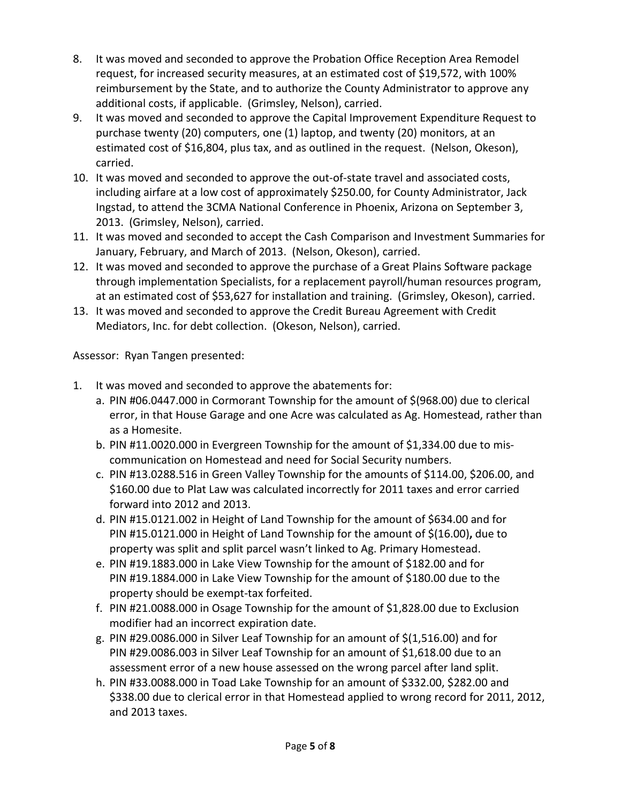- 8. It was moved and seconded to approve the Probation Office Reception Area Remodel request, for increased security measures, at an estimated cost of \$19,572, with 100% reimbursement by the State, and to authorize the County Administrator to approve any additional costs, if applicable. (Grimsley, Nelson), carried.
- 9. It was moved and seconded to approve the Capital Improvement Expenditure Request to purchase twenty (20) computers, one (1) laptop, and twenty (20) monitors, at an estimated cost of \$16,804, plus tax, and as outlined in the request. (Nelson, Okeson), carried.
- 10. It was moved and seconded to approve the out-of-state travel and associated costs, including airfare at a low cost of approximately \$250.00, for County Administrator, Jack Ingstad, to attend the 3CMA National Conference in Phoenix, Arizona on September 3, 2013. (Grimsley, Nelson), carried.
- 11. It was moved and seconded to accept the Cash Comparison and Investment Summaries for January, February, and March of 2013. (Nelson, Okeson), carried.
- 12. It was moved and seconded to approve the purchase of a Great Plains Software package through implementation Specialists, for a replacement payroll/human resources program, at an estimated cost of \$53,627 for installation and training. (Grimsley, Okeson), carried.
- 13. It was moved and seconded to approve the Credit Bureau Agreement with Credit Mediators, Inc. for debt collection. (Okeson, Nelson), carried.

Assessor: Ryan Tangen presented:

- 1. It was moved and seconded to approve the abatements for:
	- a. PIN #06.0447.000 in Cormorant Township for the amount of \$(968.00) due to clerical error, in that House Garage and one Acre was calculated as Ag. Homestead, rather than as a Homesite.
	- b. PIN #11.0020.000 in Evergreen Township for the amount of \$1,334.00 due to miscommunication on Homestead and need for Social Security numbers.
	- c. PIN #13.0288.516 in Green Valley Township for the amounts of \$114.00, \$206.00, and \$160.00 due to Plat Law was calculated incorrectly for 2011 taxes and error carried forward into 2012 and 2013.
	- d. PIN #15.0121.002 in Height of Land Township for the amount of \$634.00 and for PIN #15.0121.000 in Height of Land Township for the amount of \$(16.00)**,** due to property was split and split parcel wasn't linked to Ag. Primary Homestead.
	- e. PIN #19.1883.000 in Lake View Township for the amount of \$182.00 and for PIN #19.1884.000 in Lake View Township for the amount of \$180.00 due to the property should be exempt-tax forfeited.
	- f. PIN #21.0088.000 in Osage Township for the amount of \$1,828.00 due to Exclusion modifier had an incorrect expiration date.
	- g. PIN #29.0086.000 in Silver Leaf Township for an amount of \$(1,516.00) and for PIN #29.0086.003 in Silver Leaf Township for an amount of \$1,618.00 due to an assessment error of a new house assessed on the wrong parcel after land split.
	- h. PIN #33.0088.000 in Toad Lake Township for an amount of \$332.00, \$282.00 and \$338.00 due to clerical error in that Homestead applied to wrong record for 2011, 2012, and 2013 taxes.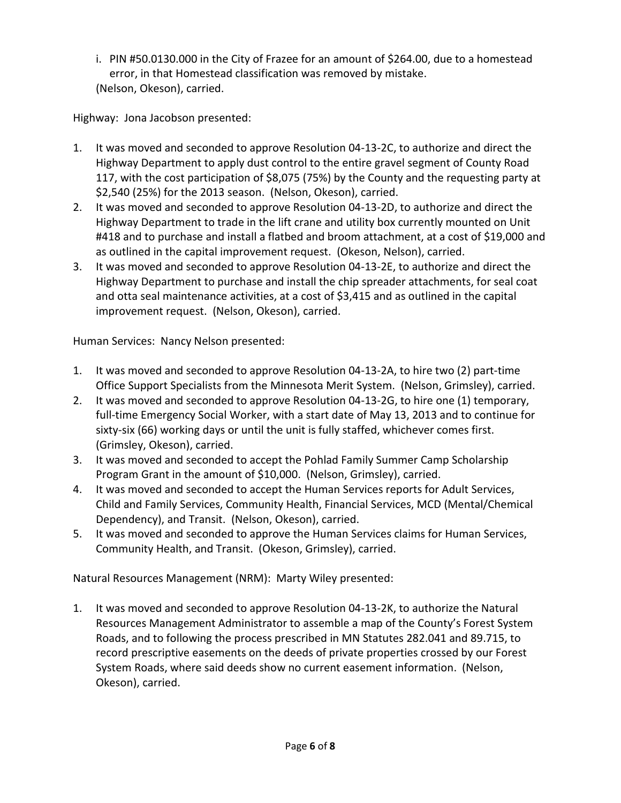i. PIN #50.0130.000 in the City of Frazee for an amount of \$264.00, due to a homestead error, in that Homestead classification was removed by mistake. (Nelson, Okeson), carried.

Highway: Jona Jacobson presented:

- 1. It was moved and seconded to approve Resolution 04-13-2C, to authorize and direct the Highway Department to apply dust control to the entire gravel segment of County Road 117, with the cost participation of \$8,075 (75%) by the County and the requesting party at \$2,540 (25%) for the 2013 season. (Nelson, Okeson), carried.
- 2. It was moved and seconded to approve Resolution 04-13-2D, to authorize and direct the Highway Department to trade in the lift crane and utility box currently mounted on Unit #418 and to purchase and install a flatbed and broom attachment, at a cost of \$19,000 and as outlined in the capital improvement request. (Okeson, Nelson), carried.
- 3. It was moved and seconded to approve Resolution 04-13-2E, to authorize and direct the Highway Department to purchase and install the chip spreader attachments, for seal coat and otta seal maintenance activities, at a cost of \$3,415 and as outlined in the capital improvement request. (Nelson, Okeson), carried.

Human Services: Nancy Nelson presented:

- 1. It was moved and seconded to approve Resolution 04-13-2A, to hire two (2) part-time Office Support Specialists from the Minnesota Merit System. (Nelson, Grimsley), carried.
- 2. It was moved and seconded to approve Resolution 04-13-2G, to hire one (1) temporary, full-time Emergency Social Worker, with a start date of May 13, 2013 and to continue for sixty-six (66) working days or until the unit is fully staffed, whichever comes first. (Grimsley, Okeson), carried.
- 3. It was moved and seconded to accept the Pohlad Family Summer Camp Scholarship Program Grant in the amount of \$10,000. (Nelson, Grimsley), carried.
- 4. It was moved and seconded to accept the Human Services reports for Adult Services, Child and Family Services, Community Health, Financial Services, MCD (Mental/Chemical Dependency), and Transit. (Nelson, Okeson), carried.
- 5. It was moved and seconded to approve the Human Services claims for Human Services, Community Health, and Transit. (Okeson, Grimsley), carried.

Natural Resources Management (NRM): Marty Wiley presented:

1. It was moved and seconded to approve Resolution 04-13-2K, to authorize the Natural Resources Management Administrator to assemble a map of the County's Forest System Roads, and to following the process prescribed in MN Statutes 282.041 and 89.715, to record prescriptive easements on the deeds of private properties crossed by our Forest System Roads, where said deeds show no current easement information. (Nelson, Okeson), carried.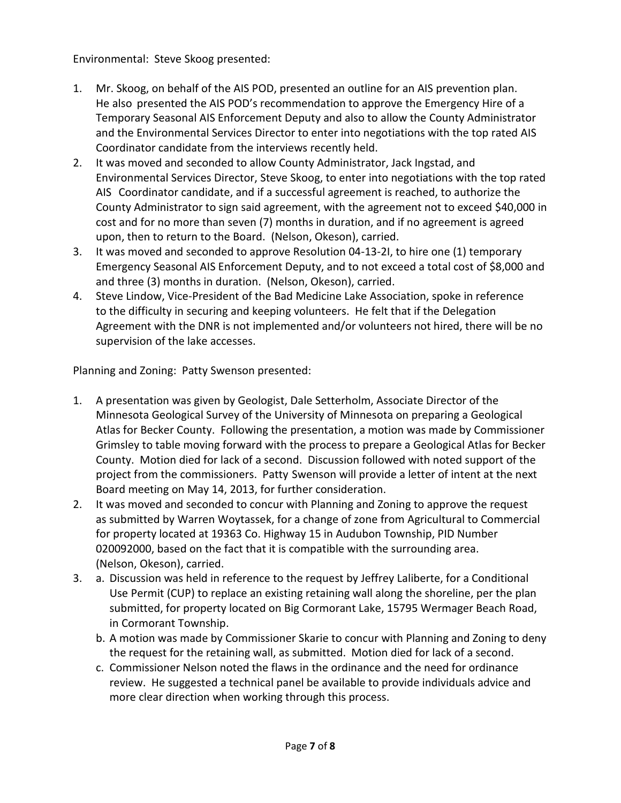Environmental: Steve Skoog presented:

- 1. Mr. Skoog, on behalf of the AIS POD, presented an outline for an AIS prevention plan. He also presented the AIS POD's recommendation to approve the Emergency Hire of a Temporary Seasonal AIS Enforcement Deputy and also to allow the County Administrator and the Environmental Services Director to enter into negotiations with the top rated AIS Coordinator candidate from the interviews recently held.
- 2. It was moved and seconded to allow County Administrator, Jack Ingstad, and Environmental Services Director, Steve Skoog, to enter into negotiations with the top rated AIS Coordinator candidate, and if a successful agreement is reached, to authorize the County Administrator to sign said agreement, with the agreement not to exceed \$40,000 in cost and for no more than seven (7) months in duration, and if no agreement is agreed upon, then to return to the Board. (Nelson, Okeson), carried.
- 3. It was moved and seconded to approve Resolution 04-13-2I, to hire one (1) temporary Emergency Seasonal AIS Enforcement Deputy, and to not exceed a total cost of \$8,000 and and three (3) months in duration. (Nelson, Okeson), carried.
- 4. Steve Lindow, Vice-President of the Bad Medicine Lake Association, spoke in reference to the difficulty in securing and keeping volunteers. He felt that if the Delegation Agreement with the DNR is not implemented and/or volunteers not hired, there will be no supervision of the lake accesses.

Planning and Zoning: Patty Swenson presented:

- 1. A presentation was given by Geologist, Dale Setterholm, Associate Director of the Minnesota Geological Survey of the University of Minnesota on preparing a Geological Atlas for Becker County. Following the presentation, a motion was made by Commissioner Grimsley to table moving forward with the process to prepare a Geological Atlas for Becker County. Motion died for lack of a second. Discussion followed with noted support of the project from the commissioners. Patty Swenson will provide a letter of intent at the next Board meeting on May 14, 2013, for further consideration.
- 2. It was moved and seconded to concur with Planning and Zoning to approve the request as submitted by Warren Woytassek, for a change of zone from Agricultural to Commercial for property located at 19363 Co. Highway 15 in Audubon Township, PID Number 020092000, based on the fact that it is compatible with the surrounding area. (Nelson, Okeson), carried.
- 3. a. Discussion was held in reference to the request by Jeffrey Laliberte, for a Conditional Use Permit (CUP) to replace an existing retaining wall along the shoreline, per the plan submitted, for property located on Big Cormorant Lake, 15795 Wermager Beach Road, in Cormorant Township.
	- b. A motion was made by Commissioner Skarie to concur with Planning and Zoning to deny the request for the retaining wall, as submitted. Motion died for lack of a second.
	- c. Commissioner Nelson noted the flaws in the ordinance and the need for ordinance review. He suggested a technical panel be available to provide individuals advice and more clear direction when working through this process.